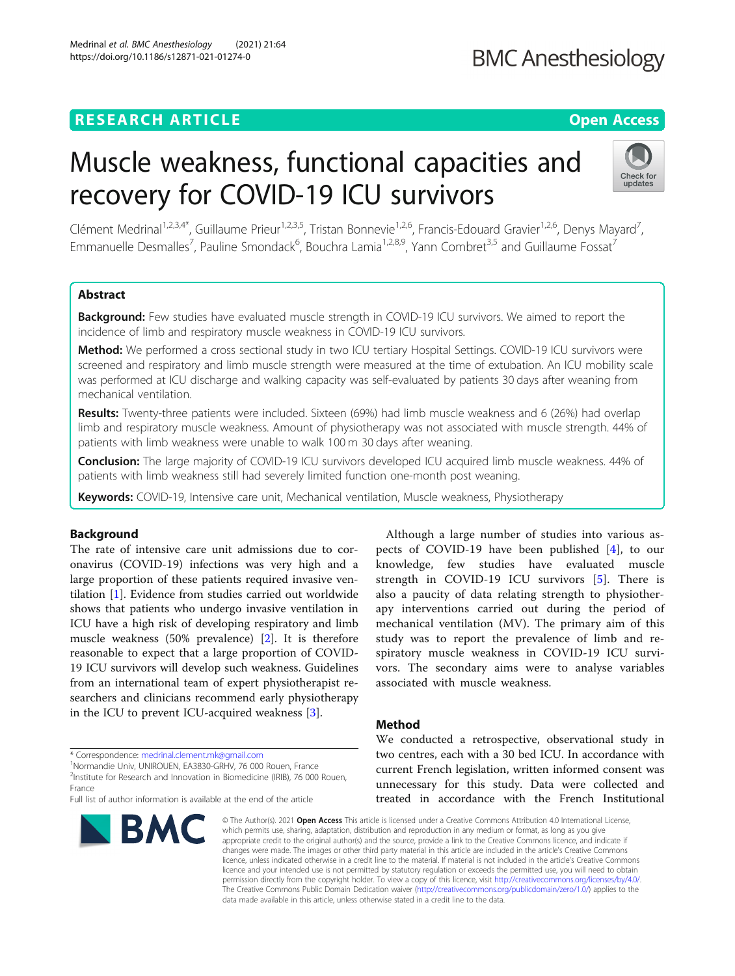## **RESEARCH ARTICLE Example 2014 CONSIDERING A RESEARCH ARTICLE**

# Muscle weakness, functional capacities and recovery for COVID-19 ICU survivors

Clément Medrinal<sup>1,2,3,4\*</sup>, Guillaume Prieur<sup>1,2,3,5</sup>, Tristan Bonnevie<sup>1,2,6</sup>, Francis-Edouard Gravier<sup>1,2,6</sup>, Denys Mayard<sup>7</sup>, , Emmanuelle Desmalles<sup>7</sup>, Pauline Smondack<sup>6</sup>, Bouchra Lamia<sup>1,2,8,9</sup>, Yann Combret<sup>3,5</sup> and Guillaume Fossat<sup>7</sup>

## Abstract

Background: Few studies have evaluated muscle strength in COVID-19 ICU survivors. We aimed to report the incidence of limb and respiratory muscle weakness in COVID-19 ICU survivors.

Method: We performed a cross sectional study in two ICU tertiary Hospital Settings. COVID-19 ICU survivors were screened and respiratory and limb muscle strength were measured at the time of extubation. An ICU mobility scale was performed at ICU discharge and walking capacity was self-evaluated by patients 30 days after weaning from mechanical ventilation.

Results: Twenty-three patients were included. Sixteen (69%) had limb muscle weakness and 6 (26%) had overlap limb and respiratory muscle weakness. Amount of physiotherapy was not associated with muscle strength. 44% of patients with limb weakness were unable to walk 100 m 30 days after weaning.

Conclusion: The large majority of COVID-19 ICU survivors developed ICU acquired limb muscle weakness. 44% of patients with limb weakness still had severely limited function one-month post weaning.

Keywords: COVID-19, Intensive care unit, Mechanical ventilation, Muscle weakness, Physiotherapy

### Background

The rate of intensive care unit admissions due to coronavirus (COVID-19) infections was very high and a large proportion of these patients required invasive ventilation [\[1\]](#page-4-0). Evidence from studies carried out worldwide shows that patients who undergo invasive ventilation in ICU have a high risk of developing respiratory and limb muscle weakness (50% prevalence) [\[2](#page-4-0)]. It is therefore reasonable to expect that a large proportion of COVID-19 ICU survivors will develop such weakness. Guidelines from an international team of expert physiotherapist researchers and clinicians recommend early physiotherapy in the ICU to prevent ICU-acquired weakness [\[3](#page-4-0)].

\* Correspondence: [medrinal.clement.mk@gmail.com](mailto:medrinal.clement.mk@gmail.com) <sup>1</sup>

Normandie Univ, UNIROUEN, EA3830-GRHV, 76 000 Rouen, France

France

## pects of COVID-19 have been published [[4\]](#page-4-0), to our knowledge, few studies have evaluated muscle strength in COVID-19 ICU survivors [[5\]](#page-4-0). There is also a paucity of data relating strength to physiotherapy interventions carried out during the period of mechanical ventilation (MV). The primary aim of this study was to report the prevalence of limb and respiratory muscle weakness in COVID-19 ICU survivors. The secondary aims were to analyse variables associated with muscle weakness.

Although a large number of studies into various as-

#### Method

We conducted a retrospective, observational study in two centres, each with a 30 bed ICU. In accordance with current French legislation, written informed consent was unnecessary for this study. Data were collected and treated in accordance with the French Institutional

© The Author(s). 2021 Open Access This article is licensed under a Creative Commons Attribution 4.0 International License, which permits use, sharing, adaptation, distribution and reproduction in any medium or format, as long as you give appropriate credit to the original author(s) and the source, provide a link to the Creative Commons licence, and indicate if changes were made. The images or other third party material in this article are included in the article's Creative Commons licence, unless indicated otherwise in a credit line to the material. If material is not included in the article's Creative Commons licence and your intended use is not permitted by statutory regulation or exceeds the permitted use, you will need to obtain permission directly from the copyright holder. To view a copy of this licence, visit [http://creativecommons.org/licenses/by/4.0/.](http://creativecommons.org/licenses/by/4.0/) The Creative Commons Public Domain Dedication waiver [\(http://creativecommons.org/publicdomain/zero/1.0/](http://creativecommons.org/publicdomain/zero/1.0/)) applies to the data made available in this article, unless otherwise stated in a credit line to the data.

<sup>2</sup>Institute for Research and Innovation in Biomedicine (IRIB), 76 000 Rouen,

Full list of author information is available at the end of the article



## **BMC Anesthesiology**



Check for updates

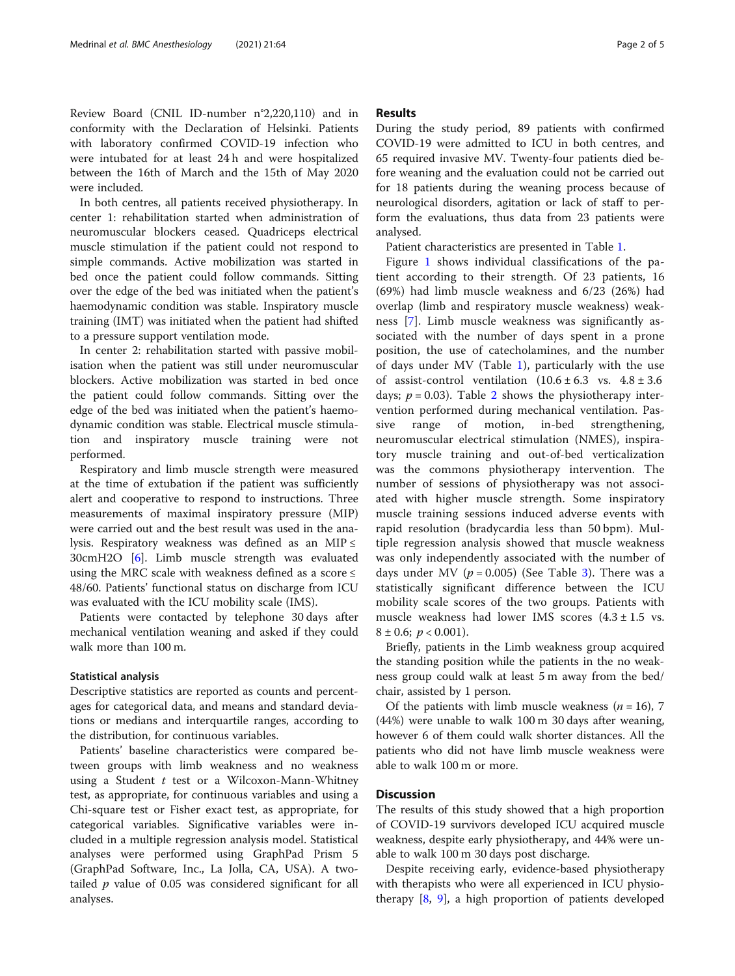Review Board (CNIL ID-number n°2,220,110) and in conformity with the Declaration of Helsinki. Patients with laboratory confirmed COVID-19 infection who were intubated for at least 24 h and were hospitalized between the 16th of March and the 15th of May 2020 were included.

In both centres, all patients received physiotherapy. In center 1: rehabilitation started when administration of neuromuscular blockers ceased. Quadriceps electrical muscle stimulation if the patient could not respond to simple commands. Active mobilization was started in bed once the patient could follow commands. Sitting over the edge of the bed was initiated when the patient's haemodynamic condition was stable. Inspiratory muscle training (IMT) was initiated when the patient had shifted to a pressure support ventilation mode.

In center 2: rehabilitation started with passive mobilisation when the patient was still under neuromuscular blockers. Active mobilization was started in bed once the patient could follow commands. Sitting over the edge of the bed was initiated when the patient's haemodynamic condition was stable. Electrical muscle stimulation and inspiratory muscle training were not performed.

Respiratory and limb muscle strength were measured at the time of extubation if the patient was sufficiently alert and cooperative to respond to instructions. Three measurements of maximal inspiratory pressure (MIP) were carried out and the best result was used in the analysis. Respiratory weakness was defined as an MIP  $\leq$ 30cmH2O [\[6](#page-4-0)]. Limb muscle strength was evaluated using the MRC scale with weakness defined as a score ≤ 48/60. Patients' functional status on discharge from ICU was evaluated with the ICU mobility scale (IMS).

Patients were contacted by telephone 30 days after mechanical ventilation weaning and asked if they could walk more than 100 m.

#### Statistical analysis

Descriptive statistics are reported as counts and percentages for categorical data, and means and standard deviations or medians and interquartile ranges, according to the distribution, for continuous variables.

Patients' baseline characteristics were compared between groups with limb weakness and no weakness using a Student  $t$  test or a Wilcoxon-Mann-Whitney test, as appropriate, for continuous variables and using a Chi-square test or Fisher exact test, as appropriate, for categorical variables. Significative variables were included in a multiple regression analysis model. Statistical analyses were performed using GraphPad Prism 5 (GraphPad Software, Inc., La Jolla, CA, USA). A twotailed  $p$  value of 0.05 was considered significant for all analyses.

#### Results

During the study period, 89 patients with confirmed COVID-19 were admitted to ICU in both centres, and 65 required invasive MV. Twenty-four patients died before weaning and the evaluation could not be carried out for 18 patients during the weaning process because of neurological disorders, agitation or lack of staff to perform the evaluations, thus data from 23 patients were analysed.

Patient characteristics are presented in Table [1](#page-2-0).

Figure [1](#page-3-0) shows individual classifications of the patient according to their strength. Of 23 patients, 16 (69%) had limb muscle weakness and 6/23 (26%) had overlap (limb and respiratory muscle weakness) weakness [[7\]](#page-4-0). Limb muscle weakness was significantly associated with the number of days spent in a prone position, the use of catecholamines, and the number of days under MV (Table [1](#page-2-0)), particularly with the use of assist-control ventilation  $(10.6 \pm 6.3 \text{ vs. } 4.8 \pm 3.6 \text{ s})$ days;  $p = 0.03$ ). Table [2](#page-3-0) shows the physiotherapy intervention performed during mechanical ventilation. Passive range of motion, in-bed strengthening, neuromuscular electrical stimulation (NMES), inspiratory muscle training and out-of-bed verticalization was the commons physiotherapy intervention. The number of sessions of physiotherapy was not associated with higher muscle strength. Some inspiratory muscle training sessions induced adverse events with rapid resolution (bradycardia less than 50 bpm). Multiple regression analysis showed that muscle weakness was only independently associated with the number of days under MV ( $p = 0.005$ ) (See Table [3\)](#page-4-0). There was a statistically significant difference between the ICU mobility scale scores of the two groups. Patients with muscle weakness had lower IMS scores  $(4.3 \pm 1.5 \text{ vs.})$  $8 \pm 0.6$ ;  $p < 0.001$ ).

Briefly, patients in the Limb weakness group acquired the standing position while the patients in the no weakness group could walk at least 5 m away from the bed/ chair, assisted by 1 person.

Of the patients with limb muscle weakness  $(n = 16)$ , 7 (44%) were unable to walk 100 m 30 days after weaning, however 6 of them could walk shorter distances. All the patients who did not have limb muscle weakness were able to walk 100 m or more.

## **Discussion**

The results of this study showed that a high proportion of COVID-19 survivors developed ICU acquired muscle weakness, despite early physiotherapy, and 44% were unable to walk 100 m 30 days post discharge.

Despite receiving early, evidence-based physiotherapy with therapists who were all experienced in ICU physiotherapy [[8,](#page-4-0) [9](#page-4-0)], a high proportion of patients developed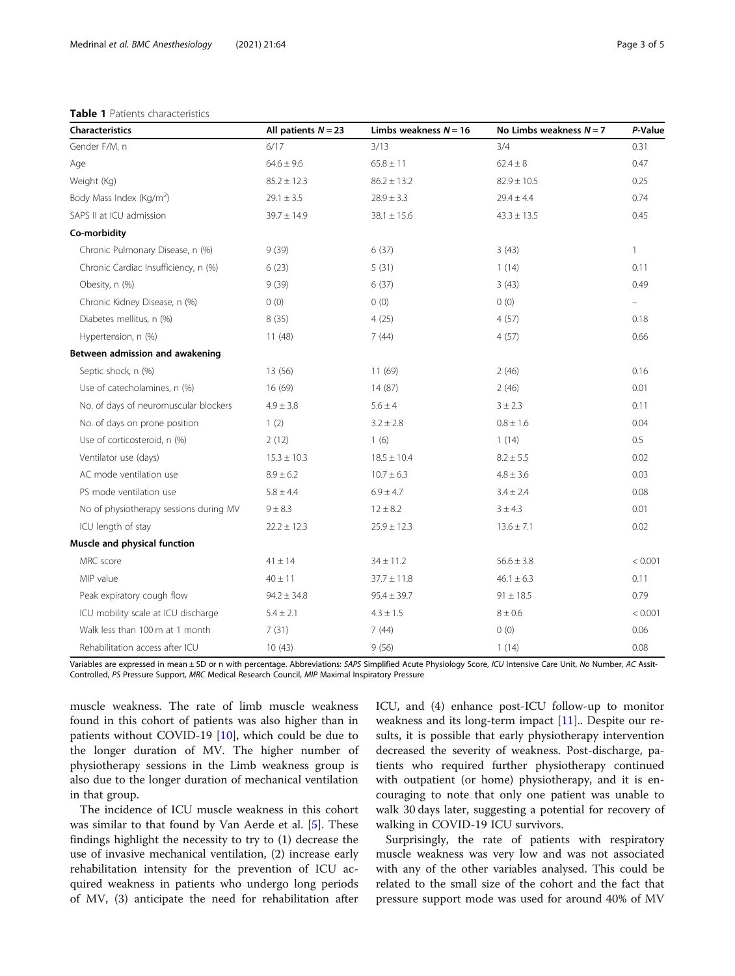#### <span id="page-2-0"></span>Table 1 Patients characteristics

| <b>Characteristics</b>                 | All patients $N = 23$ | Limbs weakness $N = 16$ | No Limbs weakness $N = 7$ | P-Value      |
|----------------------------------------|-----------------------|-------------------------|---------------------------|--------------|
| Gender F/M, n                          | 6/17                  | 3/13                    | 3/4                       | 0.31         |
| Age                                    | $64.6 \pm 9.6$        | $65.8 \pm 11$           | $62.4 \pm 8$              | 0.47         |
| Weight (Kg)                            | $85.2 \pm 12.3$       | $86.2 \pm 13.2$         | $82.9 \pm 10.5$           | 0.25         |
| Body Mass Index (Kg/m <sup>2</sup> )   | $29.1 \pm 3.5$        | $28.9 \pm 3.3$          | $29.4 \pm 4.4$            | 0.74         |
| SAPS II at ICU admission               | $39.7 \pm 14.9$       | $38.1 \pm 15.6$         | $43.3 \pm 13.5$           | 0.45         |
| Co-morbidity                           |                       |                         |                           |              |
| Chronic Pulmonary Disease, n (%)       | 9(39)                 | 6(37)                   | 3(43)                     | $\mathbf{1}$ |
| Chronic Cardiac Insufficiency, n (%)   | 6(23)                 | 5(31)                   | 1(14)                     | 0.11         |
| Obesity, n (%)                         | 9(39)                 | 6(37)                   | 3(43)                     | 0.49         |
| Chronic Kidney Disease, n (%)          | 0(0)                  | (0)                     | 0(0)                      |              |
| Diabetes mellitus, n (%)               | 8(35)                 | 4(25)                   | 4(57)                     | 0.18         |
| Hypertension, n (%)                    | 11(48)                | 7(44)                   | 4(57)                     | 0.66         |
| Between admission and awakening        |                       |                         |                           |              |
| Septic shock, n (%)                    | 13(56)                | 11(69)                  | 2(46)                     | 0.16         |
| Use of catecholamines, n (%)           | 16(69)                | 14(87)                  | 2(46)                     | 0.01         |
| No. of days of neuromuscular blockers  | $4.9 \pm 3.8$         | $5.6 \pm 4$             | $3 \pm 2.3$               | 0.11         |
| No. of days on prone position          | 1(2)                  | $3.2 \pm 2.8$           | $0.8 \pm 1.6$             | 0.04         |
| Use of corticosteroid, n (%)           | 2(12)                 | 1(6)                    | 1(14)                     | $0.5\,$      |
| Ventilator use (days)                  | $15.3 \pm 10.3$       | $18.5 \pm 10.4$         | $8.2 \pm 5.5$             | 0.02         |
| AC mode ventilation use                | $8.9 \pm 6.2$         | $10.7 \pm 6.3$          | $4.8 \pm 3.6$             | 0.03         |
| PS mode ventilation use                | $5.8 \pm 4.4$         | $6.9 \pm 4.7$           | $3.4 \pm 2.4$             | 0.08         |
| No of physiotherapy sessions during MV | $9 + 8.3$             | $12 \pm 8.2$            | 3 ± 4.3                   | 0.01         |
| ICU length of stay                     | $22.2 \pm 12.3$       | $25.9 \pm 12.3$         | $13.6 \pm 7.1$            | 0.02         |
| Muscle and physical function           |                       |                         |                           |              |
| MRC score                              | $41 \pm 14$           | $34 \pm 11.2$           | $56.6 \pm 3.8$            | < 0.001      |
| MIP value                              | $40 \pm 11$           | $37.7 \pm 11.8$         | $46.1 \pm 6.3$            | 0.11         |
| Peak expiratory cough flow             | $94.2 \pm 34.8$       | $95.4 \pm 39.7$         | $91 \pm 18.5$             | 0.79         |
| ICU mobility scale at ICU discharge    | $5.4 \pm 2.1$         | $4.3 \pm 1.5$           | $8 \pm 0.6$               | < 0.001      |
| Walk less than 100 m at 1 month        | 7(31)                 | 7(44)                   | 0(0)                      | 0.06         |
| Rehabilitation access after ICU        | 10(43)                | 9(56)                   | 1(14)                     | 0.08         |

Variables are expressed in mean ± SD or n with percentage. Abbreviations: SAPS Simplified Acute Physiology Score, ICU Intensive Care Unit, No Number, AC Assit-Controlled, PS Pressure Support, MRC Medical Research Council, MIP Maximal Inspiratory Pressure

muscle weakness. The rate of limb muscle weakness found in this cohort of patients was also higher than in patients without COVID-19 [[10](#page-4-0)], which could be due to the longer duration of MV. The higher number of physiotherapy sessions in the Limb weakness group is also due to the longer duration of mechanical ventilation in that group.

The incidence of ICU muscle weakness in this cohort was similar to that found by Van Aerde et al. [\[5](#page-4-0)]. These findings highlight the necessity to try to (1) decrease the use of invasive mechanical ventilation, (2) increase early rehabilitation intensity for the prevention of ICU acquired weakness in patients who undergo long periods of MV, (3) anticipate the need for rehabilitation after ICU, and (4) enhance post-ICU follow-up to monitor weakness and its long-term impact [\[11\]](#page-4-0).. Despite our results, it is possible that early physiotherapy intervention decreased the severity of weakness. Post-discharge, patients who required further physiotherapy continued with outpatient (or home) physiotherapy, and it is encouraging to note that only one patient was unable to walk 30 days later, suggesting a potential for recovery of walking in COVID-19 ICU survivors.

Surprisingly, the rate of patients with respiratory muscle weakness was very low and was not associated with any of the other variables analysed. This could be related to the small size of the cohort and the fact that pressure support mode was used for around 40% of MV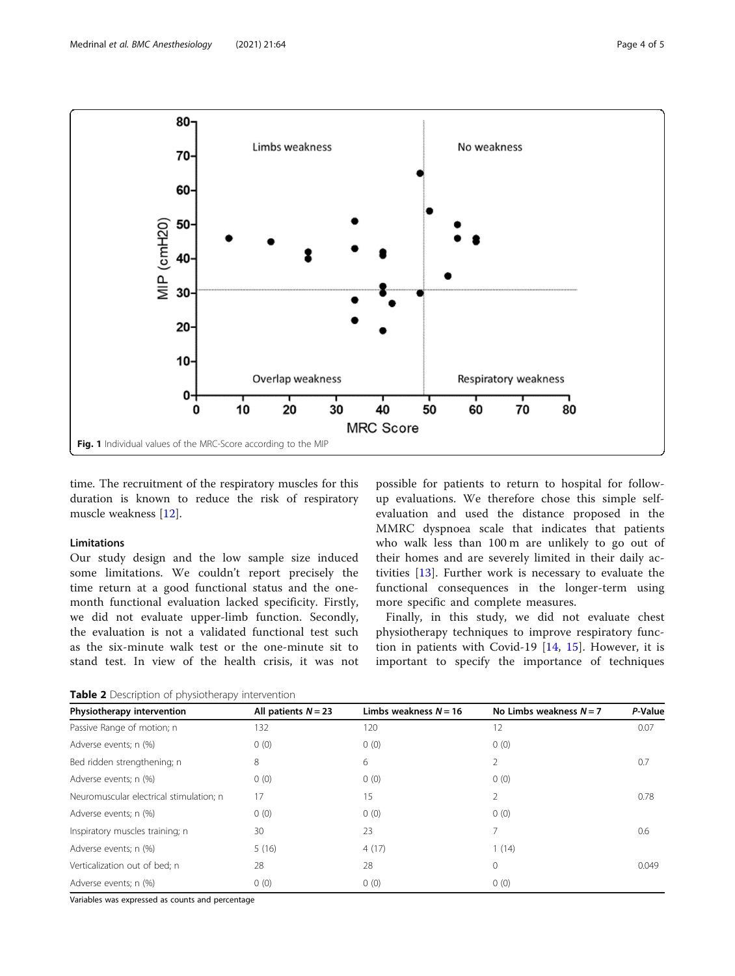<span id="page-3-0"></span>

time. The recruitment of the respiratory muscles for this duration is known to reduce the risk of respiratory muscle weakness [\[12](#page-4-0)].

#### Limitations

Our study design and the low sample size induced some limitations. We couldn't report precisely the time return at a good functional status and the onemonth functional evaluation lacked specificity. Firstly, we did not evaluate upper-limb function. Secondly, the evaluation is not a validated functional test such as the six-minute walk test or the one-minute sit to stand test. In view of the health crisis, it was not

possible for patients to return to hospital for followup evaluations. We therefore chose this simple selfevaluation and used the distance proposed in the MMRC dyspnoea scale that indicates that patients who walk less than 100 m are unlikely to go out of their homes and are severely limited in their daily activities [[13\]](#page-4-0). Further work is necessary to evaluate the functional consequences in the longer-term using more specific and complete measures.

Finally, in this study, we did not evaluate chest physiotherapy techniques to improve respiratory function in patients with Covid-19  $[14, 15]$  $[14, 15]$  $[14, 15]$  $[14, 15]$ . However, it is important to specify the importance of techniques

Table 2 Description of physiotherapy intervention

| Physiotherapy intervention              | All patients $N = 23$ | Limbs weakness $N = 16$ | No Limbs weakness $N = 7$ | P-Value |
|-----------------------------------------|-----------------------|-------------------------|---------------------------|---------|
| Passive Range of motion; n              | 132                   | 120                     | 12                        | 0.07    |
| Adverse events; n (%)                   | 0(0)                  | 0(0)                    | 0(0)                      |         |
| Bed ridden strengthening; n             | 8                     | 6                       | 2                         | 0.7     |
| Adverse events; n (%)                   | 0(0)                  | 0(0)                    | 0(0)                      |         |
| Neuromuscular electrical stimulation; n | 17                    | 15                      | 2                         | 0.78    |
| Adverse events; n (%)                   | 0(0)                  | 0(0)                    | 0(0)                      |         |
| Inspiratory muscles training; n         | 30                    | 23                      | 7                         | 0.6     |
| Adverse events; n (%)                   | 5(16)                 | 4(17)                   | (14)                      |         |
| Verticalization out of bed; n           | 28                    | 28                      | 0                         | 0.049   |
| Adverse events; n (%)                   | 0(0)                  | 0(0)                    | 0(0)                      |         |

Variables was expressed as counts and percentage